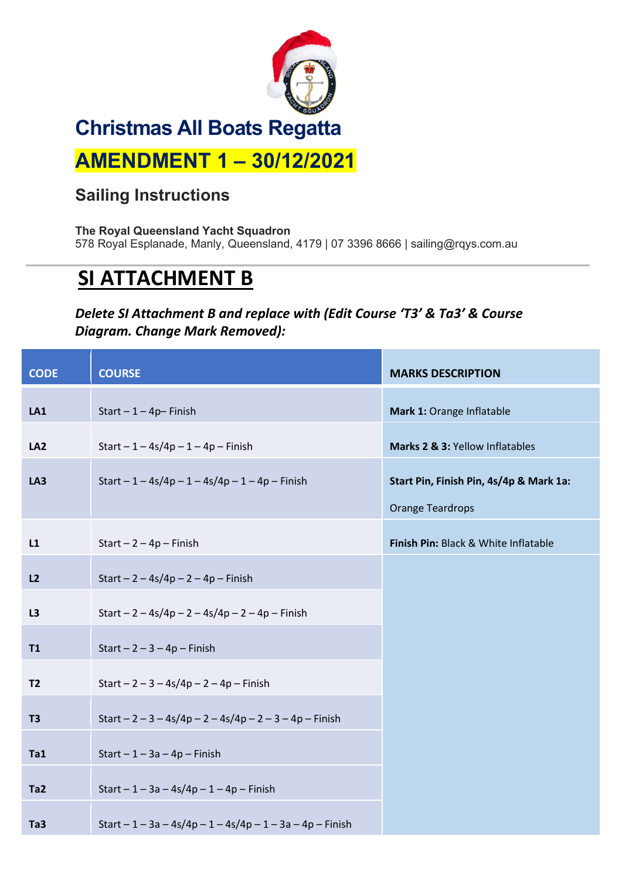

## **Sailing Instructions**

**The Royal Queensland Yacht Squadron** 578 Royal Esplanade, Manly, Queensland, 4179 | 07 3396 8666 | sailing@rqys.com.au

## **SI ATTACHMENT B**

## *Delete SI Attachment B and replace with (Edit Course 'T3' & Ta3' & Course Diagram. Change Mark Removed):*

| <b>CODE</b>     | <b>COURSE</b>                                              | <b>MARKS DESCRIPTION</b>                |
|-----------------|------------------------------------------------------------|-----------------------------------------|
| LA1             | Start $-1-4p$ -Finish                                      | Mark 1: Orange Inflatable               |
| LA <sub>2</sub> | Start $-1 - 4s/4p - 1 - 4p$ – Finish                       | Marks 2 & 3: Yellow Inflatables         |
| LA3             | Start $-1 - 4s/4p - 1 - 4s/4p - 1 - 4p$ – Finish           | Start Pin, Finish Pin, 4s/4p & Mark 1a: |
|                 |                                                            | <b>Orange Teardrops</b>                 |
| L1              | Start $-2 - 4p$ – Finish                                   | Finish Pin: Black & White Inflatable    |
| L2              | Start $- 2 - 4s/4p - 2 - 4p - F$ inish                     |                                         |
| L3              | Start $-2 - 4s/4p - 2 - 4s/4p - 2 - 4p$ – Finish           |                                         |
| T1              | Start $-2-3-4p$ - Finish                                   |                                         |
| <b>T2</b>       | Start $-2 - 3 - 4s/4p - 2 - 4p$ – Finish                   |                                         |
|                 |                                                            |                                         |
| T <sub>3</sub>  | Start $-2 - 3 - 4s/4p - 2 - 4s/4p - 2 - 3 - 4p$ – Finish   |                                         |
| Ta1             | Start $-1-3a-4p$ - Finish                                  |                                         |
| Ta <sub>2</sub> | Start $-1 - 3a - 4s/4p - 1 - 4p - F$ inish                 |                                         |
| Ta <sub>3</sub> | Start $-1 - 3a - 4s/4p - 1 - 4s/4p - 1 - 3a - 4p$ – Finish |                                         |